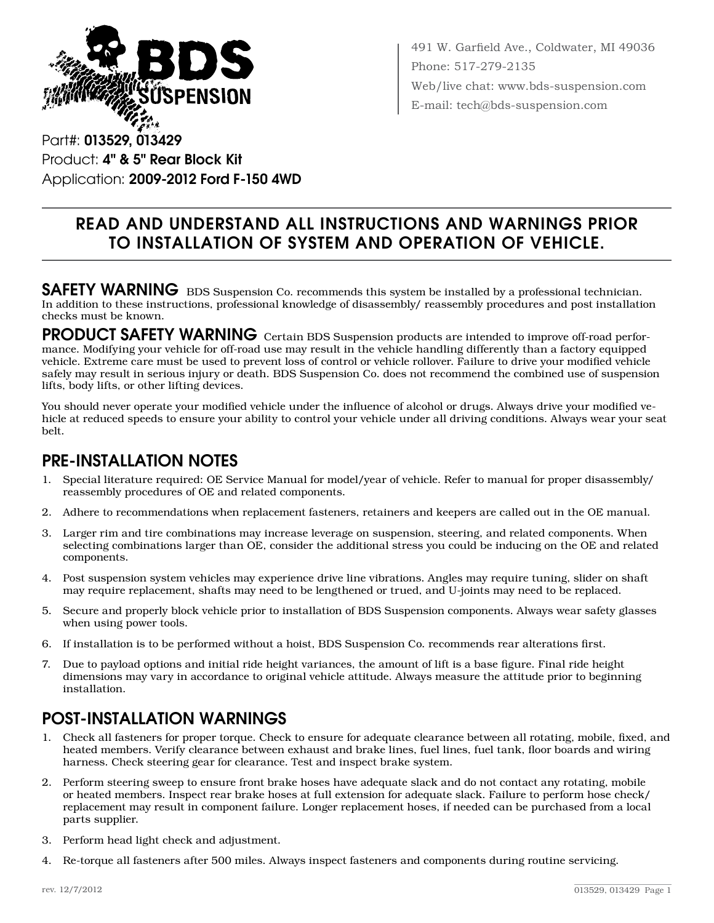

491 W. Garfield Ave., Coldwater, MI 49036 Phone: 517-279-2135 Web/live chat: www.bds-suspension.com E-mail: tech@bds-suspension.com

Part#: 013529, 013429 Product: 4" & 5" Rear Block Kit Application: 2009-2012 Ford F-150 4WD

# Read and understand all instructions and warnings prior to installation of system and operation of vehicle.

SAFETY WARNING BDS Suspension Co. recommends this system be installed by a professional technician. In addition to these instructions, professional knowledge of disassembly/ reassembly procedures and post installation checks must be known.

PRODUCT SAFETY WARNING Certain BDS Suspension products are intended to improve off-road performance. Modifying your vehicle for off-road use may result in the vehicle handling differently than a factory equipped vehicle. Extreme care must be used to prevent loss of control or vehicle rollover. Failure to drive your modified vehicle safely may result in serious injury or death. BDS Suspension Co. does not recommend the combined use of suspension lifts, body lifts, or other lifting devices.

You should never operate your modified vehicle under the influence of alcohol or drugs. Always drive your modified vehicle at reduced speeds to ensure your ability to control your vehicle under all driving conditions. Always wear your seat belt.

### Pre-Installation Notes

- 1. Special literature required: OE Service Manual for model/year of vehicle. Refer to manual for proper disassembly/ reassembly procedures of OE and related components.
- 2. Adhere to recommendations when replacement fasteners, retainers and keepers are called out in the OE manual.
- 3. Larger rim and tire combinations may increase leverage on suspension, steering, and related components. When selecting combinations larger than OE, consider the additional stress you could be inducing on the OE and related components.
- 4. Post suspension system vehicles may experience drive line vibrations. Angles may require tuning, slider on shaft may require replacement, shafts may need to be lengthened or trued, and U-joints may need to be replaced.
- 5. Secure and properly block vehicle prior to installation of BDS Suspension components. Always wear safety glasses when using power tools.
- 6. If installation is to be performed without a hoist, BDS Suspension Co. recommends rear alterations first.
- 7. Due to payload options and initial ride height variances, the amount of lift is a base figure. Final ride height dimensions may vary in accordance to original vehicle attitude. Always measure the attitude prior to beginning installation.

# POST-INSTALLATION WARNINGS

- 1. Check all fasteners for proper torque. Check to ensure for adequate clearance between all rotating, mobile, fixed, and heated members. Verify clearance between exhaust and brake lines, fuel lines, fuel tank, floor boards and wiring harness. Check steering gear for clearance. Test and inspect brake system.
- 2. Perform steering sweep to ensure front brake hoses have adequate slack and do not contact any rotating, mobile or heated members. Inspect rear brake hoses at full extension for adequate slack. Failure to perform hose check/ replacement may result in component failure. Longer replacement hoses, if needed can be purchased from a local parts supplier.
- 3. Perform head light check and adjustment.
- 4. Re-torque all fasteners after 500 miles. Always inspect fasteners and components during routine servicing.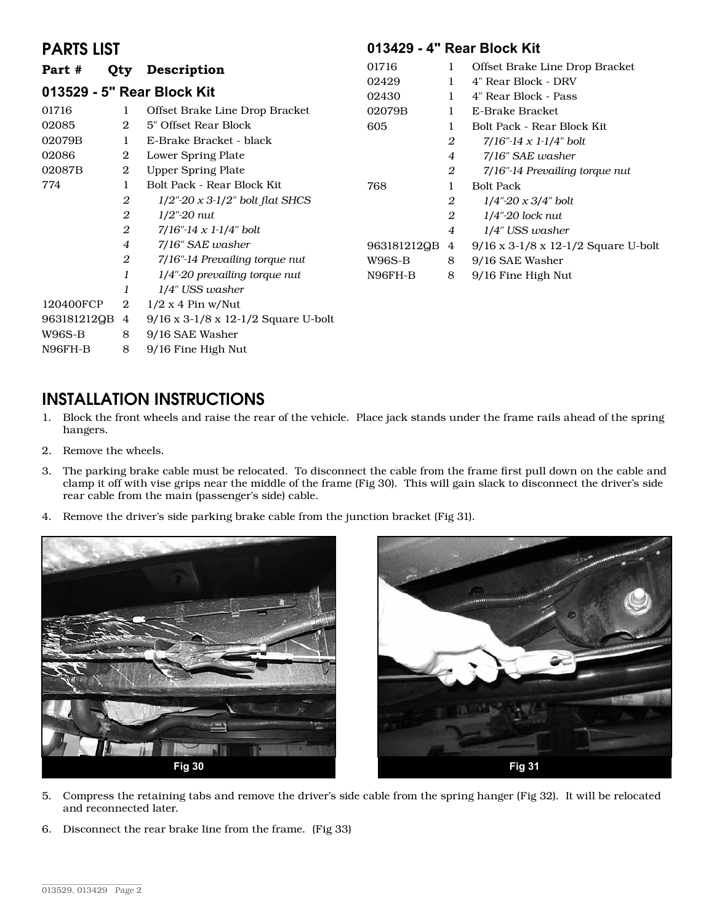### PARTS LIST

#### **013429 - 4" Rear Block Kit**

| Part #                     | Qty            | Description                                         | 01716       | 1              | Offset Brake Line Drop Bracket        |
|----------------------------|----------------|-----------------------------------------------------|-------------|----------------|---------------------------------------|
| 013529 - 5" Rear Block Kit |                |                                                     | 02429       | 1              | 4" Rear Block - DRV                   |
|                            |                |                                                     | 02430       | 1              | 4" Rear Block - Pass                  |
| 01716                      | 1              | Offset Brake Line Drop Bracket                      | 02079B      | 1              | E-Brake Bracket                       |
| 02085                      | 2              | 5" Offset Rear Block                                | 605         | 1              | Bolt Pack - Rear Block Kit            |
| 02079B                     |                | E-Brake Bracket - black                             |             | $\overline{2}$ | $7/16$ "-14 x 1-1/4" bolt             |
| 02086                      | 2              | Lower Spring Plate                                  |             | $\overline{4}$ | 7/16" SAE washer                      |
| 02087B                     | 2              | <b>Upper Spring Plate</b>                           |             | 2              | 7/16"-14 Prevailing torque nut        |
| 774                        | 1              | Bolt Pack - Rear Block Kit.                         | 768         | 1              | <b>Bolt Pack</b>                      |
|                            | 2              | $1/2$ "-20 x 3-1/2" bolt flat SHCS                  |             | 2              | $1/4$ "-20 x 3/4" bolt                |
|                            | 2              | $1/2$ "- $20 \mu$                                   |             | 2              | $1/4$ "-20 lock nut                   |
|                            | 2              | $7/16$ "-14 x 1-1/4" bolt                           |             | 4              | 1/4" USS washer                       |
|                            | 4              | 7/16" SAE washer                                    | 963181212QB | 4              | $9/16$ x 3-1/8 x 12-1/2 Square U-bolt |
|                            | 2              | 7/16"-14 Prevailing torque nut                      | W96S-B      | 8              | 9/16 SAE Washer                       |
|                            | 1              | $1/4$ "-20 prevailing torque nut                    | N96FH-B     | 8              | 9/16 Fine High Nut                    |
|                            | 1              | 1/4" USS washer                                     |             |                |                                       |
| 120400FCP                  | 2              | $1/2 x 4 P$ in w/Nut                                |             |                |                                       |
| 963181212QB                | $\overline{4}$ | $9/16 \times 3 - 1/8 \times 12 - 1/2$ Square U-bolt |             |                |                                       |
| W96S-B                     | 8              | 9/16 SAE Washer                                     |             |                |                                       |

N96FH-B 8 9/16 Fine High Nut

## INSTALLATION INSTRUCTIONS

- 1. Block the front wheels and raise the rear of the vehicle. Place jack stands under the frame rails ahead of the spring hangers.
- 2. Remove the wheels.
- 3. The parking brake cable must be relocated. To disconnect the cable from the frame first pull down on the cable and clamp it off with vise grips near the middle of the frame (Fig 30). This will gain slack to disconnect the driver's side rear cable from the main (passenger's side) cable.
- 4. Remove the driver's side parking brake cable from the junction bracket (Fig 31).





- 5. Compress the retaining tabs and remove the driver's side cable from the spring hanger (Fig 32). It will be relocated and reconnected later.
- 6. Disconnect the rear brake line from the frame. (Fig 33)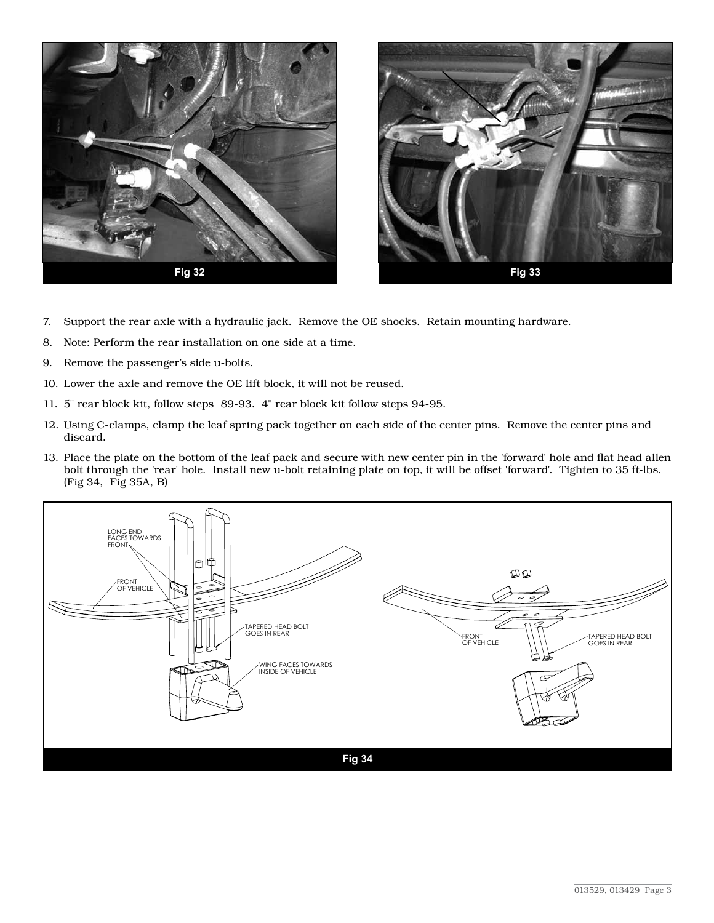



- 7. Support the rear axle with a hydraulic jack. Remove the OE shocks. Retain mounting hardware.
- 8. Note: Perform the rear installation on one side at a time.
- 9. Remove the passenger's side u-bolts.
- 10. Lower the axle and remove the OE lift block, it will not be reused.
- 11. 5" rear block kit, follow steps 89-93. 4" rear block kit follow steps 94-95.
- 12. Using C-clamps, clamp the leaf spring pack together on each side of the center pins. Remove the center pins and discard.
- 13. Place the plate on the bottom of the leaf pack and secure with new center pin in the 'forward' hole and flat head allen bolt through the 'rear' hole. Install new u-bolt retaining plate on top, it will be offset 'forward'. Tighten to 35 ft-lbs. (Fig 34, Fig 35A, B)

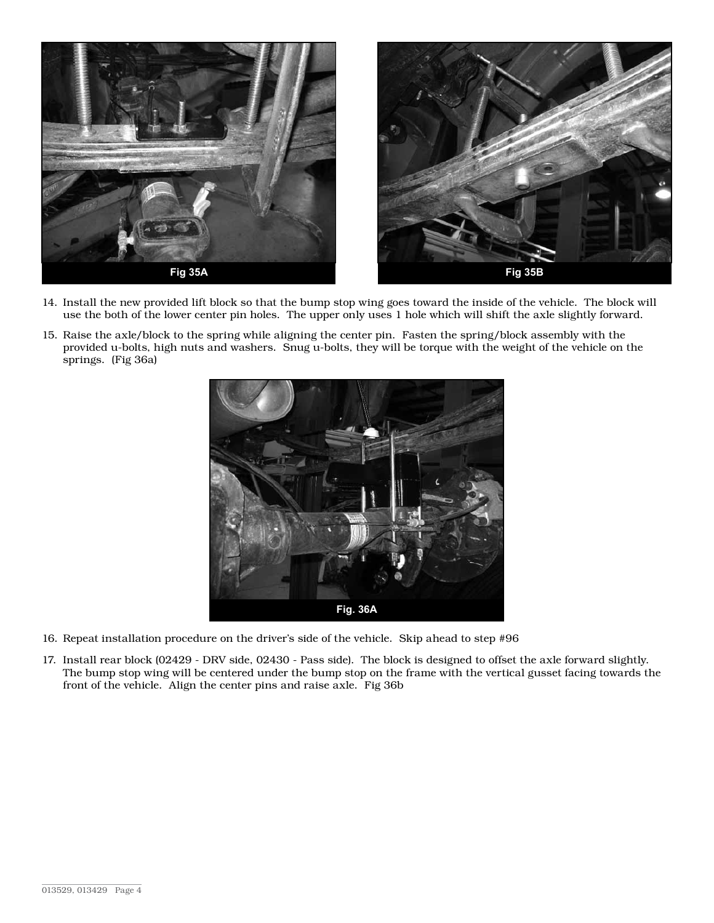

- 14. Install the new provided lift block so that the bump stop wing goes toward the inside of the vehicle. The block will use the both of the lower center pin holes. The upper only uses 1 hole which will shift the axle slightly forward.
- 15. Raise the axle/block to the spring while aligning the center pin. Fasten the spring/block assembly with the provided u-bolts, high nuts and washers. Snug u-bolts, they will be torque with the weight of the vehicle on the springs. (Fig 36a)



- 16. Repeat installation procedure on the driver's side of the vehicle. Skip ahead to step #96
- 17. Install rear block (02429 DRV side, 02430 Pass side). The block is designed to offset the axle forward slightly. The bump stop wing will be centered under the bump stop on the frame with the vertical gusset facing towards the front of the vehicle. Align the center pins and raise axle. Fig 36b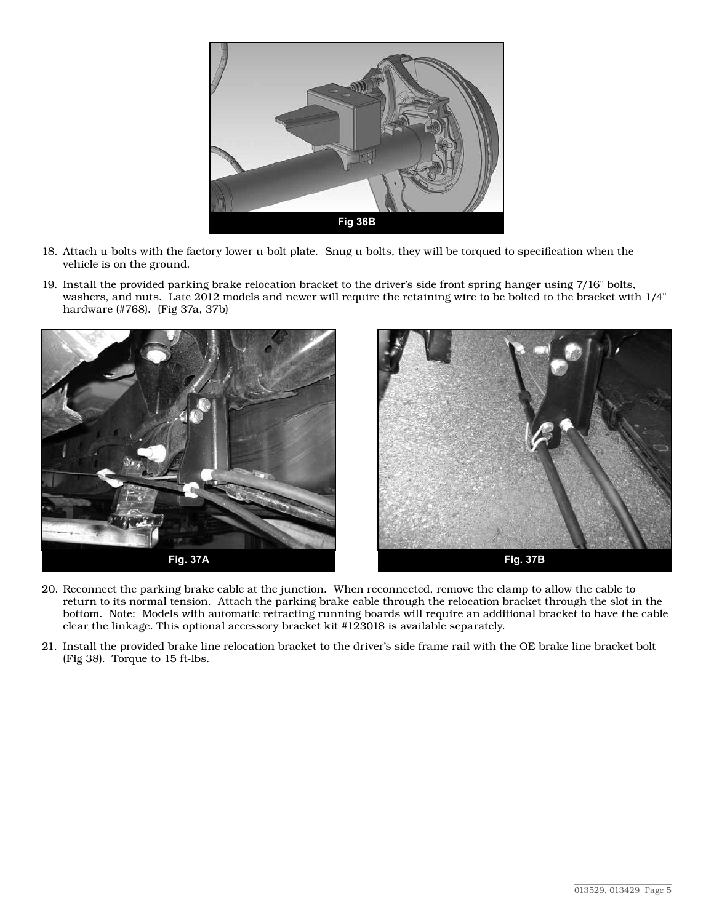

- 18. Attach u-bolts with the factory lower u-bolt plate. Snug u-bolts, they will be torqued to specification when the vehicle is on the ground.
- 19. Install the provided parking brake relocation bracket to the driver's side front spring hanger using 7/16" bolts, washers, and nuts. Late 2012 models and newer will require the retaining wire to be bolted to the bracket with 1/4" hardware (#768). (Fig 37a, 37b)



- 20. Reconnect the parking brake cable at the junction. When reconnected, remove the clamp to allow the cable to return to its normal tension. Attach the parking brake cable through the relocation bracket through the slot in the bottom. Note: Models with automatic retracting running boards will require an additional bracket to have the cable clear the linkage. This optional accessory bracket kit #123018 is available separately.
- 21. Install the provided brake line relocation bracket to the driver's side frame rail with the OE brake line bracket bolt (Fig 38). Torque to 15 ft-lbs.